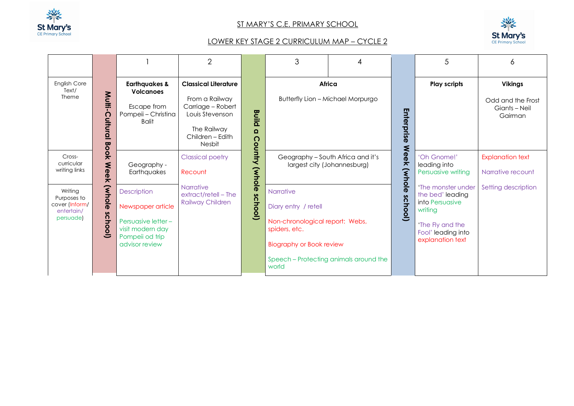

## ST MARY'S C.E. PRIMARY SCHOOL



## LOWER KEY STAGE 2 CURRICULUM MAP – CYCLE 2

|                                                                     |                                         |                                                                                                                  | $\overline{2}$                                                                                                                            |                               | 3                                                                                                                                                                           | 4                                        |                                                | 5                                                                                                                                  | 6                                                               |
|---------------------------------------------------------------------|-----------------------------------------|------------------------------------------------------------------------------------------------------------------|-------------------------------------------------------------------------------------------------------------------------------------------|-------------------------------|-----------------------------------------------------------------------------------------------------------------------------------------------------------------------------|------------------------------------------|------------------------------------------------|------------------------------------------------------------------------------------------------------------------------------------|-----------------------------------------------------------------|
| <b>English Core</b><br>Text/<br>Theme                               | Multi<br>Cultural                       | <b>Earthquakes &amp;</b><br><b>Volcanoes</b><br>Escape from<br>Pompeii - Christina<br><b>Balit</b>               | <b>Classical Literature</b><br>From a Railway<br>Carriage - Robert<br>Louis Stevenson<br>The Railway<br>Children - Edith<br><b>Nesbit</b> | <b>Build</b><br>$\Omega$<br>റ | Africa                                                                                                                                                                      | <b>Butterfly Lion - Michael Morpurgo</b> | Enterprise                                     | <b>Play scripts</b>                                                                                                                | <b>Vikings</b><br>Odd and the Frost<br>Giants – Neil<br>Gairman |
| Cross-<br>curricular<br>writing links                               | <b>Book</b><br>Weel<br>$\overline{\pi}$ | Geography -<br>Earthquakes                                                                                       | Vinhy<br><b>Classical poetry</b><br>(whole<br>Recount                                                                                     |                               | <b>Week</b><br>Geography - South Africa and it's<br>largest city (Johannesburg)<br>$\widetilde{\mathbf{K}}$                                                                 |                                          |                                                | 'Oh Gnome!'<br>leading into<br>Persuasive writing                                                                                  | <b>Explanation text</b><br>Narrative recount                    |
| Writing<br>Purposes to<br>cover (Inform/<br>entertain/<br>persuade) | (whole<br>school)                       | Description<br>Newspaper article<br>Persuasive letter -<br>visit modern day<br>Pompeii od trip<br>advisor review | <b>Narrative</b><br>extract/retell - The<br><b>Railway Children</b>                                                                       | δ<br><b>hool</b> )            | Narrative<br>Diary entry / retell<br>Non-chronological report: Webs,<br>spiders, etc.<br><b>Biography or Book review</b><br>Speech – Protecting animals around the<br>world |                                          | $\frac{\overline{O}}{\overline{O}}$<br>school) | 'The monster under<br>the bed' leading<br>into Persuasive<br>writing<br>'The Fly and the<br>Fool' leading into<br>explanation text | Setting description                                             |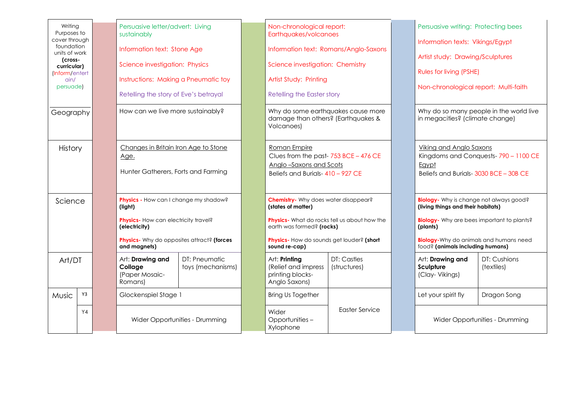| Writing<br>Purposes to<br>cover through<br>foundation<br>units of work<br>(cross-<br>curricular)<br>(Inform/entert<br>$\alpha$ in/<br>persuade)<br>Geography |                                                                                                                                                                                    |                                | Persuasive letter/advert: Living<br>sustainably<br>Information text: Stone Age<br>Science investigation: Physics<br>Instructions: Making a Pneumatic toy<br>Retelling the story of Eve's betrayal<br>How can we live more sustainably? |                                      | Non-chronological report:<br>Earthquakes/volcanoes<br>Information text: Romans/Anglo-Saxons<br>Science investigation: Chemistry<br>Artist Study: Printing<br>Retelling the Easter story<br>Why do some earthquakes cause more<br>damage than others? (Earthquakes &<br>Volcanoes) |                                | Persuasive writing: Protecting bees<br>Information texts: Vikings/Egypt<br>Artist study: Drawing/Sculptures<br><b>Rules for living (PSHE)</b><br>Non-chronological report: Multi-faith<br>Why do so many people in the world live<br>in megacities? (climate change) |                            |
|--------------------------------------------------------------------------------------------------------------------------------------------------------------|------------------------------------------------------------------------------------------------------------------------------------------------------------------------------------|--------------------------------|----------------------------------------------------------------------------------------------------------------------------------------------------------------------------------------------------------------------------------------|--------------------------------------|-----------------------------------------------------------------------------------------------------------------------------------------------------------------------------------------------------------------------------------------------------------------------------------|--------------------------------|----------------------------------------------------------------------------------------------------------------------------------------------------------------------------------------------------------------------------------------------------------------------|----------------------------|
| History                                                                                                                                                      |                                                                                                                                                                                    |                                | Changes in Britain Iron Age to Stone<br>Age.<br>Hunter Gatherers, Forts and Farming                                                                                                                                                    |                                      | Roman Empire<br>Clues from the past-753 BCE - 476 CE<br>Anglo-Saxons and Scots<br>Beliefs and Burials-410 - 927 CE                                                                                                                                                                |                                | <b>Viking and Anglo Saxons</b><br>Kingdoms and Conquests-790 - 1100 CE<br>Egypt<br>Beliefs and Burials- 3030 BCE - 30B CE                                                                                                                                            |                            |
|                                                                                                                                                              | Physics - How can I change my shadow?<br>Science<br>(light)<br>Physics- How can electricity travel?<br>(electricity)<br>Physics- Why do opposites attract? (forces<br>and magnets) |                                | <b>Chemistry-</b> Why does water disappear?<br>(states of matter)<br><b>Physics</b> - What do rocks tell us about how the<br>earth was formed? (rocks)<br>Physics- How do sounds get louder? (short<br>sound re-cap)                   |                                      | Biology- Why is change not always good?<br>(living things and their habitats)<br><b>Biology</b> - Why are bees important to plants?<br>(plants)<br><b>Biology-</b> Why do animals and humans need<br>food? (animals including humans)                                             |                                |                                                                                                                                                                                                                                                                      |                            |
| Art/DT                                                                                                                                                       |                                                                                                                                                                                    |                                | Art: Drawing and<br>Collage<br>(Paper Mosaic-<br>Romans)                                                                                                                                                                               | DT: Pneumatic<br>toys (mechanisms)   | Art: Printing<br>(Relief and impress<br>printing blocks-<br>Anglo Saxons)                                                                                                                                                                                                         | DT: Castles<br>(structures)    | Art: Drawing and<br>Sculpture<br>(Clay-Vikings)                                                                                                                                                                                                                      | DT: Cushions<br>(textiles) |
| Music                                                                                                                                                        | Y3                                                                                                                                                                                 |                                | Glockenspiel Stage 1                                                                                                                                                                                                                   |                                      | <b>Bring Us Together</b>                                                                                                                                                                                                                                                          |                                | Let your spirit fly                                                                                                                                                                                                                                                  | Dragon Song                |
|                                                                                                                                                              | Y <sub>4</sub>                                                                                                                                                                     | Wider Opportunities - Drumming |                                                                                                                                                                                                                                        | Wider<br>Opportunities-<br>Xylophone | <b>Easter Service</b>                                                                                                                                                                                                                                                             | Wider Opportunities - Drumming |                                                                                                                                                                                                                                                                      |                            |